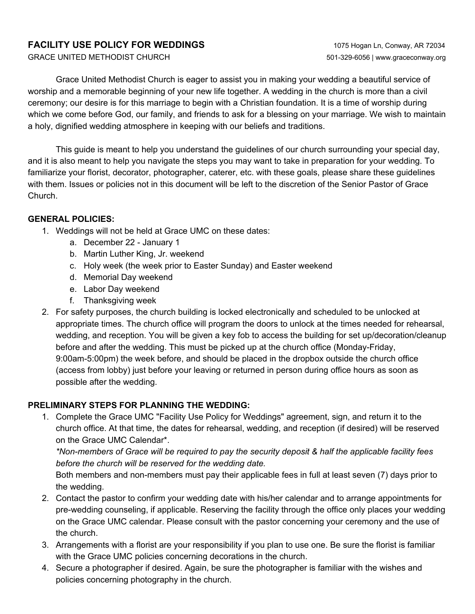### **FACILITY USE POLICY FOR WEDDINGS** 1075 Hogan Ln, Conway, AR 72034

Grace United Methodist Church is eager to assist you in making your wedding a beautiful service of worship and a memorable beginning of your new life together. A wedding in the church is more than a civil ceremony; our desire is for this marriage to begin with a Christian foundation. It is a time of worship during which we come before God, our family, and friends to ask for a blessing on your marriage. We wish to maintain a holy, dignified wedding atmosphere in keeping with our beliefs and traditions.

This guide is meant to help you understand the guidelines of our church surrounding your special day, and it is also meant to help you navigate the steps you may want to take in preparation for your wedding. To familiarize your florist, decorator, photographer, caterer, etc. with these goals, please share these guidelines with them. Issues or policies not in this document will be left to the discretion of the Senior Pastor of Grace Church.

#### **GENERAL POLICIES:**

- 1. Weddings will not be held at Grace UMC on these dates:
	- a. December 22 January 1
	- b. Martin Luther King, Jr. weekend
	- c. Holy week (the week prior to Easter Sunday) and Easter weekend
	- d. Memorial Day weekend
	- e. Labor Day weekend
	- f. Thanksgiving week
- 2. For safety purposes, the church building is locked electronically and scheduled to be unlocked at appropriate times. The church office will program the doors to unlock at the times needed for rehearsal, wedding, and reception. You will be given a key fob to access the building for set up/decoration/cleanup before and after the wedding. This must be picked up at the church office (Monday-Friday, 9:00am-5:00pm) the week before, and should be placed in the dropbox outside the church office (access from lobby) just before your leaving or returned in person during office hours as soon as possible after the wedding.

### **PRELIMINARY STEPS FOR PLANNING THE WEDDING:**

1. Complete the Grace UMC "Facility Use Policy for Weddings" agreement, sign, and return it to the church office. At that time, the dates for rehearsal, wedding, and reception (if desired) will be reserved on the Grace UMC Calendar\*.

*\*Non-members of Grace will be required to pay the security deposit & half the applicable facility fees before the church will be reserved for the wedding date.*

Both members and non-members must pay their applicable fees in full at least seven (7) days prior to the wedding.

- 2. Contact the pastor to confirm your wedding date with his/her calendar and to arrange appointments for pre-wedding counseling, if applicable. Reserving the facility through the office only places your wedding on the Grace UMC calendar. Please consult with the pastor concerning your ceremony and the use of the church.
- 3. Arrangements with a florist are your responsibility if you plan to use one. Be sure the florist is familiar with the Grace UMC policies concerning decorations in the church.
- 4. Secure a photographer if desired. Again, be sure the photographer is familiar with the wishes and policies concerning photography in the church.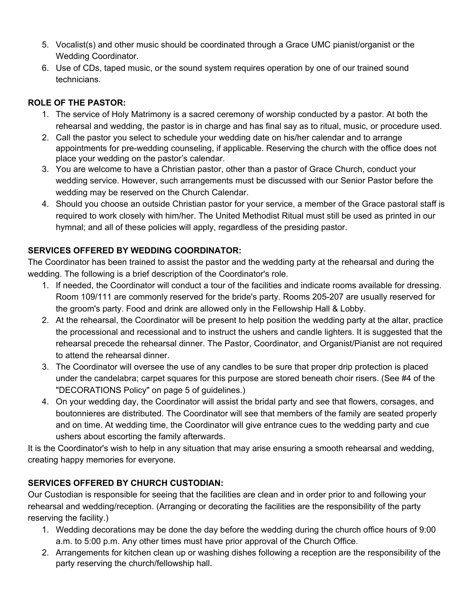- 5. Vocalist(s) and other music should be coordinated through a Grace UMC pianist/organist or the Wedding Coordinator.
- 6. Use of CDs, taped music, or the sound system requires operation by one of our trained sound technicians.

## **ROLE OF THE PASTOR:**

- 1. The service of Holy Matrimony is a sacred ceremony of worship conducted by a pastor. At both the rehearsal and wedding, the pastor is in charge and has final say as to ritual, music, or procedure used.
- 2. Call the pastor you select to schedule your wedding date on his/her calendar and to arrange appointments for pre-wedding counseling, if applicable. Reserving the church with the office does not place your wedding on the pastor's calendar.
- 3. You are welcome to have a Christian pastor, other than a pastor of Grace Church, conduct your wedding service. However, such arrangements must be discussed with our Senior Pastor before the wedding may be reserved on the Church Calendar.
- 4. Should you choose an outside Christian pastor for your service, a member of the Grace pastoral staff is required to work closely with him/her. The United Methodist Ritual must still be used as printed in our hymnal; and all of these policies will apply, regardless of the presiding pastor.

## **SERVICES OFFERED BY WEDDING COORDINATOR:**

The Coordinator has been trained to assist the pastor and the wedding party at the rehearsal and during the wedding. The following is a brief description of the Coordinator's role.

- 1. If needed, the Coordinator will conduct a tour of the facilities and indicate rooms available for dressing. Room 109/111 are commonly reserved for the bride's party. Rooms 205-207 are usually reserved for the groom's party. Food and drink are allowed only in the Fellowship Hall & Lobby.
- 2. At the rehearsal, the Coordinator will be present to help position the wedding party at the altar, practice the processional and recessional and to instruct the ushers and candle lighters. It is suggested that the rehearsal precede the rehearsal dinner. The Pastor, Coordinator, and Organist/Pianist are not required to attend the rehearsal dinner.
- 3. The Coordinator will oversee the use of any candles to be sure that proper drip protection is placed under the candelabra; carpet squares for this purpose are stored beneath choir risers. (See #4 of the "DECORATIONS Policy" on page 5 of guidelines.)
- 4. On your wedding day, the Coordinator will assist the bridal party and see that flowers, corsages, and boutonnieres are distributed. The Coordinator will see that members of the family are seated properly and on time. At wedding time, the Coordinator will give entrance cues to the wedding party and cue ushers about escorting the family afterwards.

It is the Coordinator's wish to help in any situation that may arise ensuring a smooth rehearsal and wedding, creating happy memories for everyone.

# **SERVICES OFFERED BY CHURCH CUSTODIAN:**

Our Custodian is responsible for seeing that the facilities are clean and in order prior to and following your rehearsal and wedding/reception. (Arranging or decorating the facilities are the responsibility of the party reserving the facility.)

- 1. Wedding decorations may be done the day before the wedding during the church office hours of 9:00 a.m. to 5:00 p.m. Any other times must have prior approval of the Church Office.
- 2. Arrangements for kitchen clean up or washing dishes following a reception are the responsibility of the party reserving the church/fellowship hall.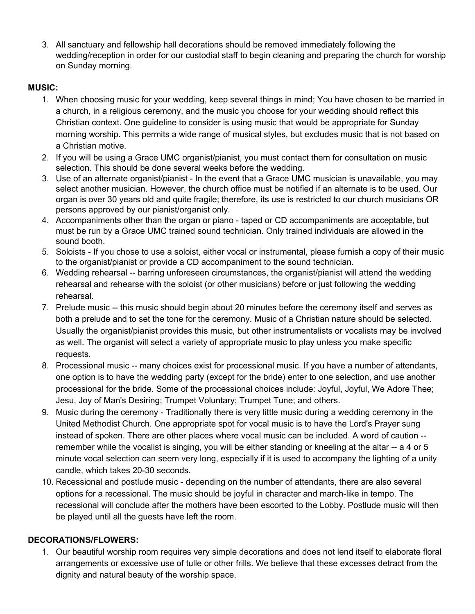3. All sanctuary and fellowship hall decorations should be removed immediately following the wedding/reception in order for our custodial staff to begin cleaning and preparing the church for worship on Sunday morning.

### **MUSIC:**

- 1. When choosing music for your wedding, keep several things in mind; You have chosen to be married in a church, in a religious ceremony, and the music you choose for your wedding should reflect this Christian context. One guideline to consider is using music that would be appropriate for Sunday morning worship. This permits a wide range of musical styles, but excludes music that is not based on a Christian motive.
- 2. If you will be using a Grace UMC organist/pianist, you must contact them for consultation on music selection. This should be done several weeks before the wedding.
- 3. Use of an alternate organist/pianist In the event that a Grace UMC musician is unavailable, you may select another musician. However, the church office must be notified if an alternate is to be used. Our organ is over 30 years old and quite fragile; therefore, its use is restricted to our church musicians OR persons approved by our pianist/organist only.
- 4. Accompaniments other than the organ or piano taped or CD accompaniments are acceptable, but must be run by a Grace UMC trained sound technician. Only trained individuals are allowed in the sound booth.
- 5. Soloists If you chose to use a soloist, either vocal or instrumental, please furnish a copy of their music to the organist/pianist or provide a CD accompaniment to the sound technician.
- 6. Wedding rehearsal -- barring unforeseen circumstances, the organist/pianist will attend the wedding rehearsal and rehearse with the soloist (or other musicians) before or just following the wedding rehearsal.
- 7. Prelude music -- this music should begin about 20 minutes before the ceremony itself and serves as both a prelude and to set the tone for the ceremony. Music of a Christian nature should be selected. Usually the organist/pianist provides this music, but other instrumentalists or vocalists may be involved as well. The organist will select a variety of appropriate music to play unless you make specific requests.
- 8. Processional music -- many choices exist for processional music. If you have a number of attendants, one option is to have the wedding party (except for the bride) enter to one selection, and use another processional for the bride. Some of the processional choices include: Joyful, Joyful, We Adore Thee; Jesu, Joy of Man's Desiring; Trumpet Voluntary; Trumpet Tune; and others.
- 9. Music during the ceremony Traditionally there is very little music during a wedding ceremony in the United Methodist Church. One appropriate spot for vocal music is to have the Lord's Prayer sung instead of spoken. There are other places where vocal music can be included. A word of caution - remember while the vocalist is singing, you will be either standing or kneeling at the altar -- a 4 or 5 minute vocal selection can seem very long, especially if it is used to accompany the lighting of a unity candle, which takes 20-30 seconds.
- 10. Recessional and postlude music depending on the number of attendants, there are also several options for a recessional. The music should be joyful in character and march-like in tempo. The recessional will conclude after the mothers have been escorted to the Lobby. Postlude music will then be played until all the guests have left the room.

### **DECORATIONS/FLOWERS:**

1. Our beautiful worship room requires very simple decorations and does not lend itself to elaborate floral arrangements or excessive use of tulle or other frills. We believe that these excesses detract from the dignity and natural beauty of the worship space.